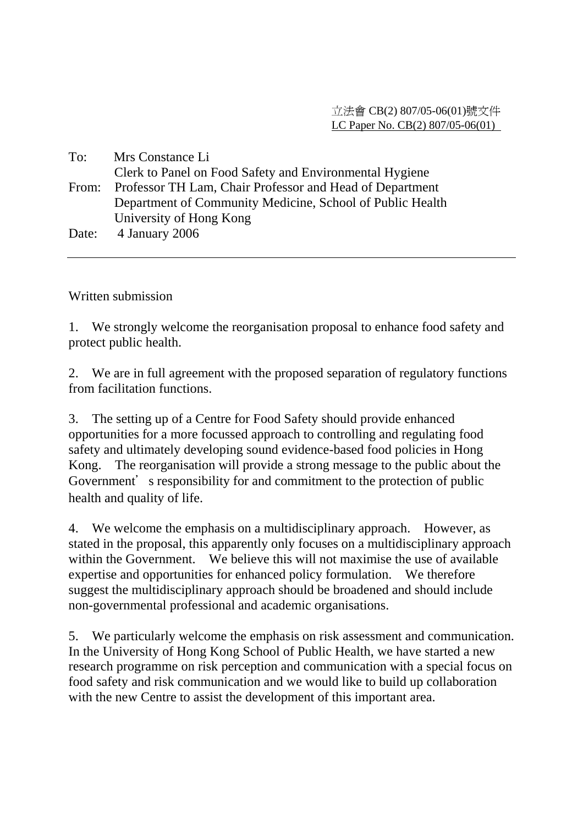| To:   | Mrs Constance Li                                               |
|-------|----------------------------------------------------------------|
|       | Clerk to Panel on Food Safety and Environmental Hygiene        |
|       | From: Professor TH Lam, Chair Professor and Head of Department |
|       | Department of Community Medicine, School of Public Health      |
|       | University of Hong Kong                                        |
| Date: | 4 January 2006                                                 |

Written submission

1. We strongly welcome the reorganisation proposal to enhance food safety and protect public health.

2. We are in full agreement with the proposed separation of regulatory functions from facilitation functions.

3. The setting up of a Centre for Food Safety should provide enhanced opportunities for a more focussed approach to controlling and regulating food safety and ultimately developing sound evidence-based food policies in Hong Kong. The reorganisation will provide a strong message to the public about the Government's responsibility for and commitment to the protection of public health and quality of life.

4. We welcome the emphasis on a multidisciplinary approach. However, as stated in the proposal, this apparently only focuses on a multidisciplinary approach within the Government. We believe this will not maximise the use of available expertise and opportunities for enhanced policy formulation. We therefore suggest the multidisciplinary approach should be broadened and should include non-governmental professional and academic organisations.

5. We particularly welcome the emphasis on risk assessment and communication. In the University of Hong Kong School of Public Health, we have started a new research programme on risk perception and communication with a special focus on food safety and risk communication and we would like to build up collaboration with the new Centre to assist the development of this important area.